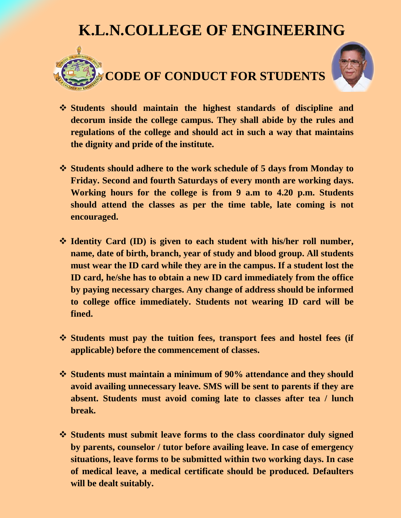## **K.L.N.COLLEGE OF ENGINEERING**



## **CODE OF CONDUCT FOR STUDENTS**



- **Students should maintain the highest standards of discipline and decorum inside the college campus. They shall abide by the rules and regulations of the college and should act in such a way that maintains the dignity and pride of the institute.**
- **Students should adhere to the work schedule of 5 days from Monday to Friday. Second and fourth Saturdays of every month are working days. Working hours for the college is from 9 a.m to 4.20 p.m. Students should attend the classes as per the time table, late coming is not encouraged.**
- **Identity Card (ID) is given to each student with his/her roll number, name, date of birth, branch, year of study and blood group. All students must wear the ID card while they are in the campus. If a student lost the ID card, he/she has to obtain a new ID card immediately from the office by paying necessary charges. Any change of address should be informed to college office immediately. Students not wearing ID card will be fined.**
- **Students must pay the tuition fees, transport fees and hostel fees (if applicable) before the commencement of classes.**
- **Students must maintain a minimum of 90% attendance and they should avoid availing unnecessary leave. SMS will be sent to parents if they are absent. Students must avoid coming late to classes after tea / lunch break.**
- **Students must submit leave forms to the class coordinator duly signed by parents, counselor / tutor before availing leave. In case of emergency situations, leave forms to be submitted within two working days. In case of medical leave, a medical certificate should be produced. Defaulters will be dealt suitably.**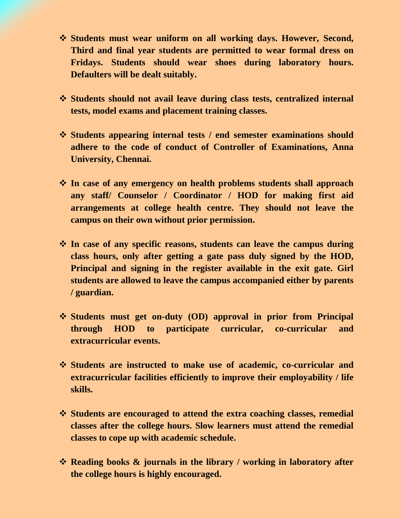- **Students must wear uniform on all working days. However, Second, Third and final year students are permitted to wear formal dress on Fridays. Students should wear shoes during laboratory hours. Defaulters will be dealt suitably.**
- **Students should not avail leave during class tests, centralized internal tests, model exams and placement training classes.**
- **Students appearing internal tests / end semester examinations should adhere to the code of conduct of Controller of Examinations, Anna University, Chennai.**
- **In case of any emergency on health problems students shall approach any staff/ Counselor / Coordinator / HOD for making first aid arrangements at college health centre. They should not leave the campus on their own without prior permission.**
- **In case of any specific reasons, students can leave the campus during class hours, only after getting a gate pass duly signed by the HOD, Principal and signing in the register available in the exit gate. Girl students are allowed to leave the campus accompanied either by parents / guardian.**
- **Students must get on-duty (OD) approval in prior from Principal through HOD to participate curricular, co-curricular and extracurricular events.**
- **Students are instructed to make use of academic, co-curricular and extracurricular facilities efficiently to improve their employability / life skills.**
- **Students are encouraged to attend the extra coaching classes, remedial classes after the college hours. Slow learners must attend the remedial classes to cope up with academic schedule.**
- **Reading books & journals in the library / working in laboratory after the college hours is highly encouraged.**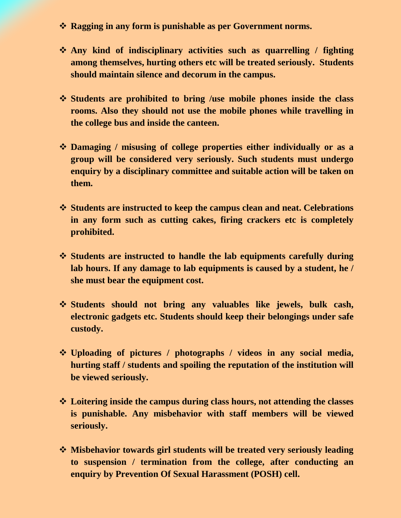- **Ragging in any form is punishable as per Government norms.**
- **Any kind of indisciplinary activities such as quarrelling / fighting among themselves, hurting others etc will be treated seriously. Students should maintain silence and decorum in the campus.**
- **Students are prohibited to bring /use mobile phones inside the class rooms. Also they should not use the mobile phones while travelling in the college bus and inside the canteen.**
- **Damaging / misusing of college properties either individually or as a group will be considered very seriously. Such students must undergo enquiry by a disciplinary committee and suitable action will be taken on them.**
- **Students are instructed to keep the campus clean and neat. Celebrations in any form such as cutting cakes, firing crackers etc is completely prohibited.**
- **Students are instructed to handle the lab equipments carefully during lab hours. If any damage to lab equipments is caused by a student, he / she must bear the equipment cost.**
- **Students should not bring any valuables like jewels, bulk cash, electronic gadgets etc. Students should keep their belongings under safe custody.**
- **Uploading of pictures / photographs / videos in any social media, hurting staff / students and spoiling the reputation of the institution will be viewed seriously.**
- **Loitering inside the campus during class hours, not attending the classes is punishable. Any misbehavior with staff members will be viewed seriously.**
- **Misbehavior towards girl students will be treated very seriously leading to suspension / termination from the college, after conducting an enquiry by Prevention Of Sexual Harassment (POSH) cell.**